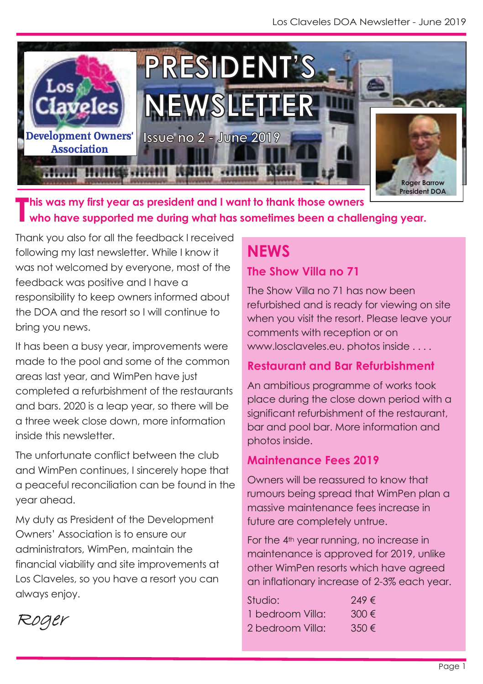

This was my first year as president and I want to thank those owners<br>Who have supported me during what has sometimes been a chall **who have supported me during what has sometimes been a challenging year.**

Thank you also for all the feedback I received following my last newsletter. While I know it was not welcomed by everyone, most of the feedback was positive and I have a responsibility to keep owners informed about the DOA and the resort so I will continue to bring you news.

It has been a busy year, improvements were made to the pool and some of the common areas last year, and WimPen have just completed a refurbishment of the restaurants and bars. 2020 is a leap year, so there will be a three week close down, more information inside this newsletter.

The unfortunate conflict between the club and WimPen continues, I sincerely hope that a peaceful reconciliation can be found in the year ahead.

My duty as President of the Development Owners' Association is to ensure our administrators, WimPen, maintain the financial viability and site improvements at Los Claveles, so you have a resort you can always enjoy.

**NEWS**

## **The Show Villa no 71**

The Show Villa no 71 has now been refurbished and is ready for viewing on site when you visit the resort. Please leave your comments with reception or on www.losclaveles.eu. photos inside . . . .

## **Restaurant and Bar Refurbishment**

An ambitious programme of works took place during the close down period with a significant refurbishment of the restaurant, bar and pool bar. More information and photos inside.

## **Maintenance Fees 2019**

Owners will be reassured to know that rumours being spread that WimPen plan a massive maintenance fees increase in future are completely untrue.

For the 4th year running, no increase in maintenance is approved for 2019, unlike other WimPen resorts which have agreed an inflationary increase of 2-3% each year.

| Studio:          | $749 \in$ |
|------------------|-----------|
| 1 bedroom Villa: | $300 \in$ |
| 2 bedroom Villa: | $350 \in$ |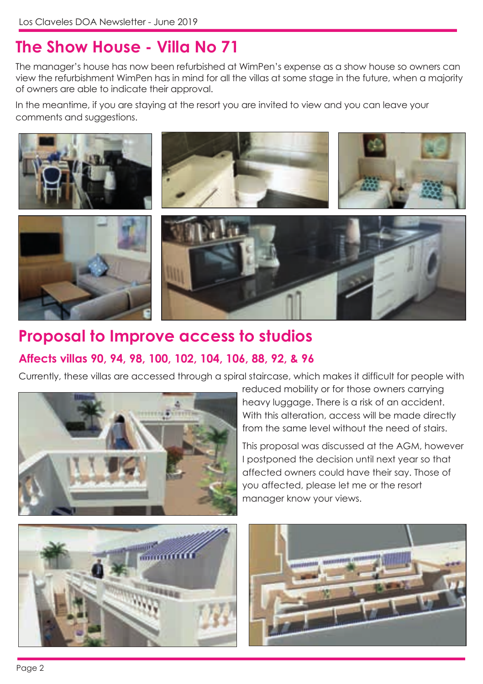# **The Show House - Villa No 71**

The manager's house has now been refurbished at WimPen's expense as a show house so owners can view the refurbishment WimPen has in mind for all the villas at some stage in the future, when a majority of owners are able to indicate their approval.

In the meantime, if you are staying at the resort you are invited to view and you can leave your comments and suggestions.



## **Proposal to Improve access to studios Affects villas 90, 94, 98, 100, 102, 104, 106, 88, 92, & 96**

Currently, these villas are accessed through a spiral staircase, which makes it difficult for people with



reduced mobility or for those owners carrying heavy luggage. There is a risk of an accident. With this alteration, access will be made directly from the same level without the need of stairs.

This proposal was discussed at the AGM, however I postponed the decision until next year so that affected owners could have their say. Those of you affected, please let me or the resort manager know your views.



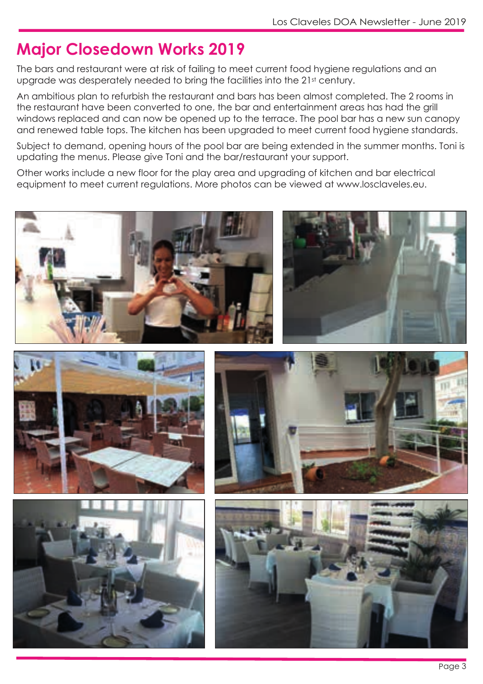# **Major Closedown Works 2019**

The bars and restaurant were at risk of failing to meet current food hygiene regulations and an upgrade was desperately needed to bring the facilities into the 21st century.

An ambitious plan to refurbish the restaurant and bars has been almost completed. The 2 rooms in the restaurant have been converted to one, the bar and entertainment areas has had the grill windows replaced and can now be opened up to the terrace. The pool bar has a new sun canopy and renewed table tops. The kitchen has been upgraded to meet current food hygiene standards.

Subject to demand, opening hours of the pool bar are being extended in the summer months. Toni is updating the menus. Please give Toni and the bar/restaurant your support.

Other works include a new floor for the play area and upgrading of kitchen and bar electrical equipment to meet current regulations. More photos can be viewed at www.losclaveles.eu.